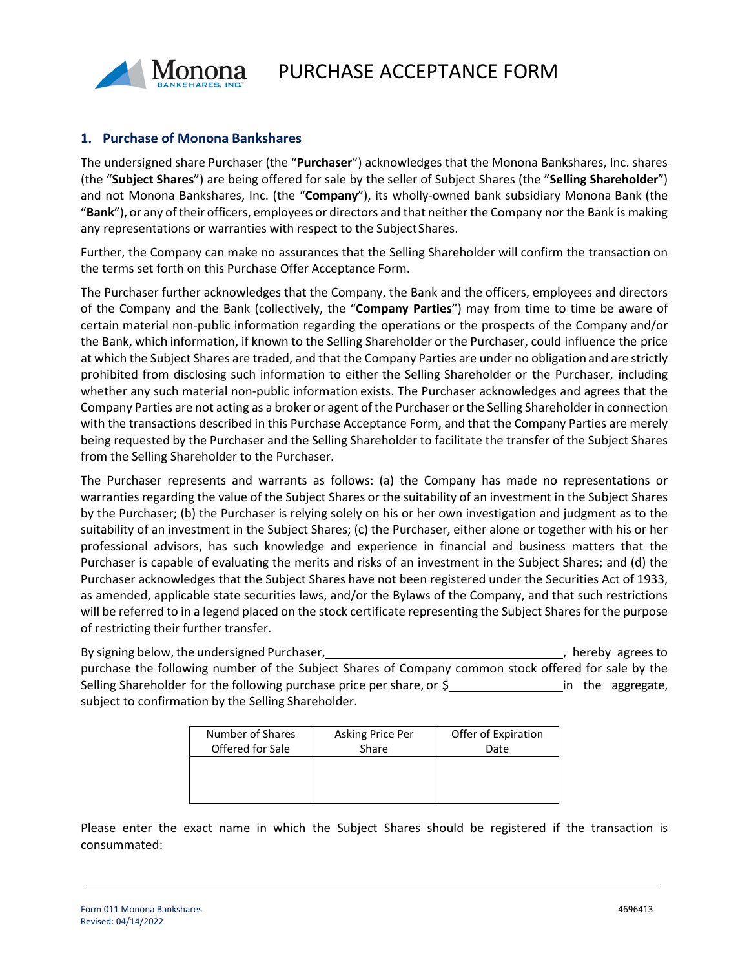

## **1. Purchase of Monona Bankshares**

The undersigned share Purchaser (the "**Purchaser**") acknowledges that the Monona Bankshares, Inc. shares (the "**Subject Shares**") are being offered for sale by the seller of Subject Shares (the "**Selling Shareholder**") and not Monona Bankshares, Inc. (the "**Company**"), its wholly-owned bank subsidiary Monona Bank (the "**Bank**"), or any oftheir officers, employees or directors and that neitherthe Company nor the Bank is making any representations or warranties with respect to the SubjectShares.

Further, the Company can make no assurances that the Selling Shareholder will confirm the transaction on the terms set forth on this Purchase Offer Acceptance Form.

The Purchaser further acknowledges that the Company, the Bank and the officers, employees and directors of the Company and the Bank (collectively, the "**Company Parties**") may from time to time be aware of certain material non-public information regarding the operations or the prospects of the Company and/or the Bank, which information, if known to the Selling Shareholder or the Purchaser, could influence the price at which the Subject Shares are traded, and that the Company Parties are under no obligation and are strictly prohibited from disclosing such information to either the Selling Shareholder or the Purchaser, including whether any such material non-public information exists. The Purchaser acknowledges and agrees that the Company Parties are not acting as a broker or agent of the Purchaser or the Selling Shareholder in connection with the transactions described in this Purchase Acceptance Form, and that the Company Parties are merely being requested by the Purchaser and the Selling Shareholder to facilitate the transfer of the Subject Shares from the Selling Shareholder to the Purchaser.

The Purchaser represents and warrants as follows: (a) the Company has made no representations or warranties regarding the value of the Subject Shares or the suitability of an investment in the Subject Shares by the Purchaser; (b) the Purchaser is relying solely on his or her own investigation and judgment as to the suitability of an investment in the Subject Shares; (c) the Purchaser, either alone or together with his or her professional advisors, has such knowledge and experience in financial and business matters that the Purchaser is capable of evaluating the merits and risks of an investment in the Subject Shares; and (d) the Purchaser acknowledges that the Subject Shares have not been registered under the Securities Act of 1933, as amended, applicable state securities laws, and/or the Bylaws of the Company, and that such restrictions will be referred to in a legend placed on the stock certificate representing the Subject Shares for the purpose of restricting their further transfer.

By signing below, the undersigned Purchaser, , hereby agrees to purchase the following number of the Subject Shares of Company common stock offered for sale by the Selling Shareholder for the following purchase price per share, or  $\zeta$  in the aggregate, subject to confirmation by the Selling Shareholder.

| Number of Shares | Asking Price Per | Offer of Expiration |
|------------------|------------------|---------------------|
| Offered for Sale | Share            | Date                |
|                  |                  |                     |
|                  |                  |                     |
|                  |                  |                     |

Please enter the exact name in which the Subject Shares should be registered if the transaction is consummated: